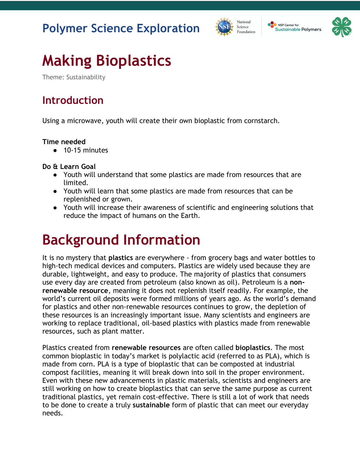#### **Polymer Science Exploration**





# **Making Bioplastics**

Theme: Sustainability

#### **Introduction**

Using a microwave, youth will create their own bioplastic from cornstarch.

#### **Time needed**

● 10-15 minutes

**Do & Learn Goal**

- Youth will understand that some plastics are made from resources that are limited.
- Youth will learn that some plastics are made from resources that can be replenished or grown.
- Youth will increase their awareness of scientific and engineering solutions that reduce the impact of humans on the Earth.

## **Background Information**

It is no mystery that **plastics** are everywhere - from grocery bags and water bottles to high-tech medical devices and computers. Plastics are widely used because they are durable, lightweight, and easy to produce. The majority of plastics that consumers use every day are created from petroleum (also known as oil). Petroleum is a **nonrenewable resource**, meaning it does not replenish itself readily. For example, the world's current oil deposits were formed millions of years ago. As the world's demand for plastics and other non-renewable resources continues to grow, the depletion of these resources is an increasingly important issue. Many scientists and engineers are working to replace traditional, oil-based plastics with plastics made from renewable resources, such as plant matter.

Plastics created from **renewable resources** are often called **bioplastics**. The most common bioplastic in today's market is polylactic acid (referred to as PLA), which is made from corn. PLA is a type of bioplastic that can be composted at industrial compost facilities, meaning it will break down into soil in the proper environment. Even with these new advancements in plastic materials, scientists and engineers are still working on how to create bioplastics that can serve the same purpose as current traditional plastics, yet remain cost-effective. There is still a lot of work that needs to be done to create a truly **sustainable** form of plastic that can meet our everyday needs.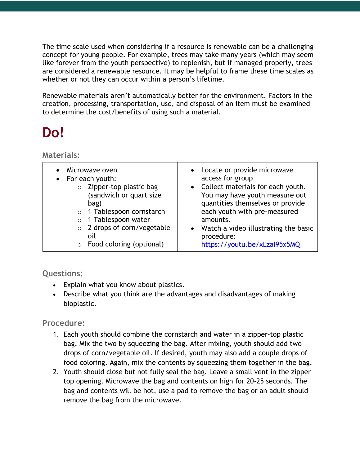The time scale used when considering if a resource is renewable can be a challenging concept for young people. For example, trees may take many years (which may seem like forever from the youth perspective) to replenish, but if managed properly, trees are considered a renewable resource. It may be helpful to frame these time scales as whether or not they can occur within a person's lifetime.

Renewable materials aren't automatically better for the environment. Factors in the creation, processing, transportation, use, and disposal of an item must be examined to determine the cost/benefits of using such a material.

## **Do!**

**Materials:** 

| Microwave oven<br>For each youth:<br>Zipper-top plastic bag<br>$\circ$<br>(sandwich or quart size<br>bag)<br>1 Tablespoon cornstarch<br>$\circ$<br>1 Tablespoon water<br>$\circ$<br>o 2 drops of corn/vegetable<br>oil<br>Food coloring (optional)<br>$\circ$ | Locate or provide microwave<br>access for group<br>• Collect materials for each youth.<br>You may have youth measure out<br>quantities themselves or provide<br>each youth with pre-measured<br>amounts.<br>Watch a video illustrating the basic<br>$\bullet$<br>procedure:<br>https://youtu.be/xLzal95x5MQ |
|---------------------------------------------------------------------------------------------------------------------------------------------------------------------------------------------------------------------------------------------------------------|-------------------------------------------------------------------------------------------------------------------------------------------------------------------------------------------------------------------------------------------------------------------------------------------------------------|
|---------------------------------------------------------------------------------------------------------------------------------------------------------------------------------------------------------------------------------------------------------------|-------------------------------------------------------------------------------------------------------------------------------------------------------------------------------------------------------------------------------------------------------------------------------------------------------------|

**Questions:**

- Explain what you know about plastics.
- Describe what you think are the advantages and disadvantages of making bioplastic.

**Procedure:**

- 1. Each youth should combine the cornstarch and water in a zipper-top plastic bag. Mix the two by squeezing the bag. After mixing, youth should add two drops of corn/vegetable oil. If desired, youth may also add a couple drops of food coloring. Again, mix the contents by squeezing them together in the bag.
- 2. Youth should close but not fully seal the bag. Leave a small vent in the zipper top opening. Microwave the bag and contents on high for 20-25 seconds. The bag and contents will be hot, use a pad to remove the bag or an adult should remove the bag from the microwave.